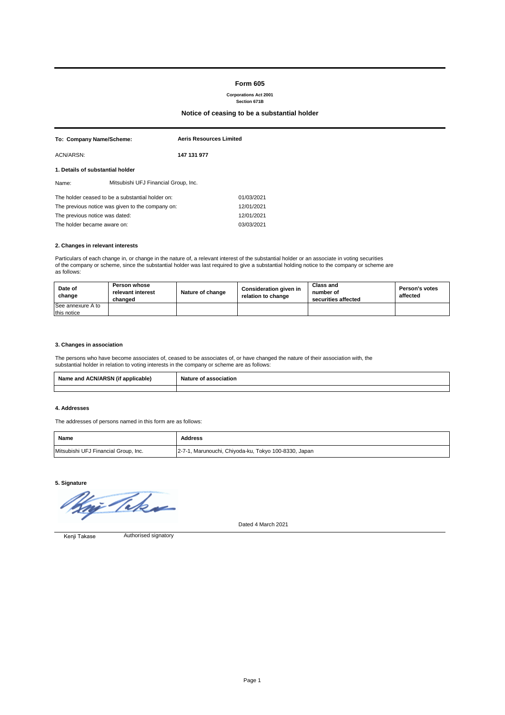## **2. Changes in relevant interests**

Particulars of each change in, or change in the nature of, a relevant interest of the substantial holder or an associate in voting securities of the company or scheme, since the substantial holder was last required to give a substantial holding notice to the company or scheme are as follows:

| To: Company Name/Scheme:                         |                                                  | <b>Aeris Resources Limited</b> |            |  |  |
|--------------------------------------------------|--------------------------------------------------|--------------------------------|------------|--|--|
| ACN/ARSN:                                        |                                                  | 147 131 977                    |            |  |  |
| 1. Details of substantial holder                 |                                                  |                                |            |  |  |
| Name:                                            | Mitsubishi UFJ Financial Group, Inc.             |                                |            |  |  |
|                                                  | The holder ceased to be a substantial holder on: |                                | 01/03/2021 |  |  |
| The previous notice was given to the company on: |                                                  |                                | 12/01/2021 |  |  |
| The previous notice was dated:                   |                                                  |                                | 12/01/2021 |  |  |
| The holder became aware on:                      |                                                  |                                | 03/03/2021 |  |  |

## **3. Changes in association**

The persons who have become associates of, ceased to be associates of, or have changed the nature of their association with, the substantial holder in relation to voting interests in the company or scheme are as follows:

#### **4. Addresses**

The addresses of persons named in this form are as follows:



Dated 4 March 2021

| Date of<br>change        | <b>Person whose</b><br>relevant interest<br>changed | Nature of change | Consideration given in<br>relation to change | Class and<br>number of<br>securities affected | <b>Person's votes</b><br>affected |
|--------------------------|-----------------------------------------------------|------------------|----------------------------------------------|-----------------------------------------------|-----------------------------------|
| <b>See annexure A to</b> |                                                     |                  |                                              |                                               |                                   |
| this notice              |                                                     |                  |                                              |                                               |                                   |

# **Form 605**

#### **Corporations Act 2001 Section 671B**

## **Notice of ceasing to be a substantial holder**

Authorised signatory Kenji Takase

| <b>Name</b>                          | <b>Address</b>                                       |
|--------------------------------------|------------------------------------------------------|
| Mitsubishi UFJ Financial Group, Inc. | 2-7-1, Marunouchi, Chiyoda-ku, Tokyo 100-8330, Japan |

| $P$ DOM $P$<br>. .<br><b>Name</b><br>applicable<br>and ؛<br>ACN.<br>WИ.<br>אה<br>ANJ | <b>Nature</b><br>ารรociation |  |  |  |
|--------------------------------------------------------------------------------------|------------------------------|--|--|--|
|                                                                                      |                              |  |  |  |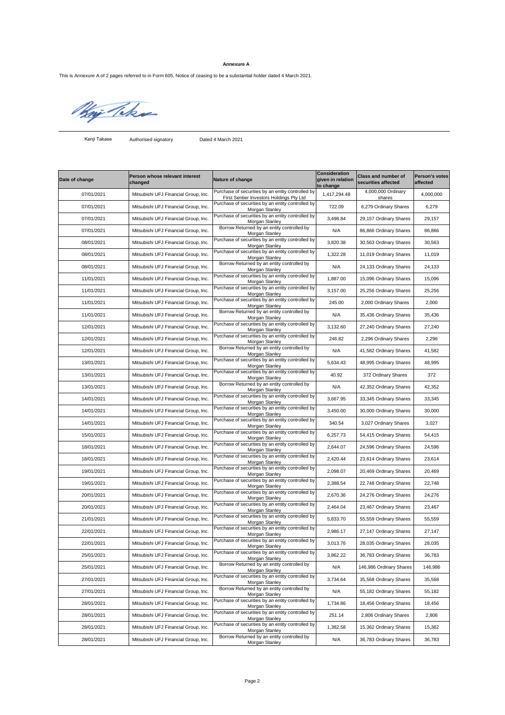Authorised signatory Dated 4 March 2021

| Date of change | <b>Person whose relevant interest</b><br>changed | Nature of change                                                                              | <b>Consideration</b><br>given in relation<br>to change | <b>Class and number of</b><br>securities affected | <b>Person's votes</b><br><b>affected</b> |
|----------------|--------------------------------------------------|-----------------------------------------------------------------------------------------------|--------------------------------------------------------|---------------------------------------------------|------------------------------------------|
| 07/01/2021     | Mitsubishi UFJ Financial Group, Inc.             | Purchase of securities by an entity controlled by<br>First Sentier Investors Holdings Pty Ltd | 1,417,294.48                                           | 4,000,000 Ordinary<br>shares                      | 4,000,000                                |
| 07/01/2021     | Mitsubishi UFJ Financial Group, Inc.             | Purchase of securities by an entity controlled by<br>Morgan Stanley                           | 722.09                                                 | 6,279 Ordinary Shares                             | 6,279                                    |
| 07/01/2021     | Mitsubishi UFJ Financial Group, Inc.             | Purchase of securities by an entity controlled by<br>Morgan Stanley                           | 3,498.84                                               | 29,157 Ordinary Shares                            | 29,157                                   |
| 07/01/2021     | Mitsubishi UFJ Financial Group, Inc.             | Borrow Returned by an entity controlled by<br>Morgan Stanley                                  | N/A                                                    | 86,866 Ordinary Shares                            | 86,866                                   |
| 08/01/2021     | Mitsubishi UFJ Financial Group, Inc.             | Purchase of securities by an entity controlled by<br>Morgan Stanley                           | 3,820.38                                               | 30,563 Ordinary Shares                            | 30,563                                   |
| 08/01/2021     | Mitsubishi UFJ Financial Group, Inc.             | Purchase of securities by an entity controlled by<br>Morgan Stanley                           | 1,322.28                                               | 11,019 Ordinary Shares                            | 11,019                                   |
| 08/01/2021     | Mitsubishi UFJ Financial Group, Inc.             | Borrow Returned by an entity controlled by<br>Morgan Stanley                                  | N/A                                                    | 24,133 Ordinary Shares                            | 24,133                                   |
| 11/01/2021     | Mitsubishi UFJ Financial Group, Inc.             | Purchase of securities by an entity controlled by<br>Morgan Stanley                           | 1,887.00                                               | 15,096 Ordinary Shares                            | 15,096                                   |
| 11/01/2021     | Mitsubishi UFJ Financial Group, Inc.             | Purchase of securities by an entity controlled by<br>Morgan Stanley                           | 3,157.00                                               | 25,256 Ordinary Shares                            | 25,256                                   |
| 11/01/2021     | Mitsubishi UFJ Financial Group, Inc.             | Purchase of securities by an entity controlled by<br>Morgan Stanley                           | 245.00                                                 | 2,000 Ordinary Shares                             | 2,000                                    |
| 11/01/2021     | Mitsubishi UFJ Financial Group, Inc.             | Borrow Returned by an entity controlled by<br>Morgan Stanley                                  | N/A                                                    | 35,436 Ordinary Shares                            | 35,436                                   |
| 12/01/2021     | Mitsubishi UFJ Financial Group, Inc.             | Purchase of securities by an entity controlled by<br>Morgan Stanley                           | 3,132.60                                               | 27,240 Ordinary Shares                            | 27,240                                   |
| 12/01/2021     | Mitsubishi UFJ Financial Group, Inc.             | Purchase of securities by an entity controlled by<br>Morgan Stanley                           | 246.82                                                 | 2,296 Ordinary Shares                             | 2,296                                    |
| 12/01/2021     | Mitsubishi UFJ Financial Group, Inc.             | Borrow Returned by an entity controlled by<br>Morgan Stanley                                  | N/A                                                    | 41,582 Ordinary Shares                            | 41,582                                   |
| 13/01/2021     | Mitsubishi UFJ Financial Group, Inc.             | Purchase of securities by an entity controlled by<br>Morgan Stanley                           | 5,634.43                                               | 48,995 Ordinary Shares                            | 48,995                                   |
| 13/01/2021     | Mitsubishi UFJ Financial Group, Inc.             | Purchase of securities by an entity controlled by<br>Morgan Stanley                           | 40.92                                                  | 372 Ordinary Shares                               | 372                                      |
| 13/01/2021     | Mitsubishi UFJ Financial Group, Inc.             | Borrow Returned by an entity controlled by<br>Morgan Stanley                                  | N/A                                                    | 42,352 Ordinary Shares                            | 42,352                                   |
| 14/01/2021     | Mitsubishi UFJ Financial Group, Inc.             | Purchase of securities by an entity controlled by<br>Morgan Stanley                           | 3,667.95                                               | 33,345 Ordinary Shares                            | 33,345                                   |
| 14/01/2021     | Mitsubishi UFJ Financial Group, Inc.             | Purchase of securities by an entity controlled by<br>Morgan Stanley                           | 3,450.00                                               | 30,000 Ordinary Shares                            | 30,000                                   |
| 14/01/2021     | Mitsubishi UFJ Financial Group, Inc.             | Purchase of securities by an entity controlled by<br>Morgan Stanley                           | 340.54                                                 | 3,027 Ordinary Shares                             | 3,027                                    |
| 15/01/2021     | Mitsubishi UFJ Financial Group, Inc.             | Purchase of securities by an entity controlled by<br>Morgan Stanley                           | 6,257.73                                               | 54,415 Ordinary Shares                            | 54,415                                   |
| 18/01/2021     | Mitsubishi UFJ Financial Group, Inc.             | Purchase of securities by an entity controlled by<br>Morgan Stanley                           | 2,644.07                                               | 24,596 Ordinary Shares                            | 24,596                                   |
| 18/01/2021     | Mitsubishi UFJ Financial Group, Inc.             | Purchase of securities by an entity controlled by<br>Morgan Stanley                           | 2,420.44                                               | 23,614 Ordinary Shares                            | 23,614                                   |
| 19/01/2021     | Mitsubishi UFJ Financial Group, Inc.             | Purchase of securities by an entity controlled by<br>Morgan Stanley                           | 2,098.07                                               | 20,469 Ordinary Shares                            | 20,469                                   |
| 19/01/2021     | Mitsubishi UFJ Financial Group, Inc.             | Purchase of securities by an entity controlled by<br>Morgan Stanley                           | 2,388.54                                               | 22,748 Ordinary Shares                            | 22,748                                   |
| 20/01/2021     | Mitsubishi UFJ Financial Group, Inc.             | Purchase of securities by an entity controlled by<br>Morgan Stanley                           | 2,670.36                                               | 24,276 Ordinary Shares                            | 24,276                                   |
| 20/01/2021     | Mitsubishi UFJ Financial Group, Inc.             | Purchase of securities by an entity controlled by<br>Morgan Stanley                           | 2,464.04                                               | 23,467 Ordinary Shares                            | 23,467                                   |
| 21/01/2021     | Mitsubishi UFJ Financial Group, Inc.             | Purchase of securities by an entity controlled by<br>Morgan Stanley                           | 5,833.70                                               | 55,559 Ordinary Shares                            | 55,559                                   |
| 22/01/2021     | Mitsubishi UFJ Financial Group, Inc.             | Purchase of securities by an entity controlled by<br>Morgan Stanley                           | 2,986.17                                               | 27,147 Ordinary Shares                            | 27,147                                   |
| 22/01/2021     | Mitsubishi UFJ Financial Group, Inc.             | Purchase of securities by an entity controlled by<br>Morgan Stanley                           | 3,013.76                                               | 28,035 Ordinary Shares                            | 28,035                                   |
| 25/01/2021     | Mitsubishi UFJ Financial Group, Inc.             | Purchase of securities by an entity controlled by<br>Morgan Stanley                           | 3,862.22                                               | 36,783 Ordinary Shares                            | 36,783                                   |
| 25/01/2021     | Mitsubishi UFJ Financial Group, Inc.             | Borrow Returned by an entity controlled by<br>Morgan Stanley                                  | N/A                                                    | 146,986 Ordinary Shares                           | 146,986                                  |
| 27/01/2021     | Mitsubishi UFJ Financial Group, Inc.             | Purchase of securities by an entity controlled by<br>Morgan Stanley                           | 3,734.64                                               | 35,568 Ordinary Shares                            | 35,568                                   |
| 27/01/2021     | Mitsubishi UFJ Financial Group, Inc.             | Borrow Returned by an entity controlled by<br>Morgan Stanley                                  | N/A                                                    | 55,182 Ordinary Shares                            | 55,182                                   |
| 28/01/2021     | Mitsubishi UFJ Financial Group, Inc.             | Purchase of securities by an entity controlled by<br>Morgan Stanley                           | 1,734.86                                               | 18,456 Ordinary Shares                            | 18,456                                   |
| 28/01/2021     | Mitsubishi UFJ Financial Group, Inc.             | Purchase of securities by an entity controlled by<br>Morgan Stanley                           | 251.14                                                 | 2,806 Ordinary Shares                             | 2,806                                    |
| 28/01/2021     | Mitsubishi UFJ Financial Group, Inc.             | Purchase of securities by an entity controlled by<br>Morgan Stanley                           | 1,382.58                                               | 15,362 Ordinary Shares                            | 15,362                                   |
| 28/01/2021     | Mitsubishi UFJ Financial Group, Inc.             | Borrow Returned by an entity controlled by<br>Morgan Stanley                                  | N/A                                                    | 36,783 Ordinary Shares                            | 36,783                                   |

## **Annexure A**

This is Annexure A of 2 pages referred to in Form 605, Notice of ceasing to be a substantial holder dated 4 March 2021.

Wij There

Kenji Takase